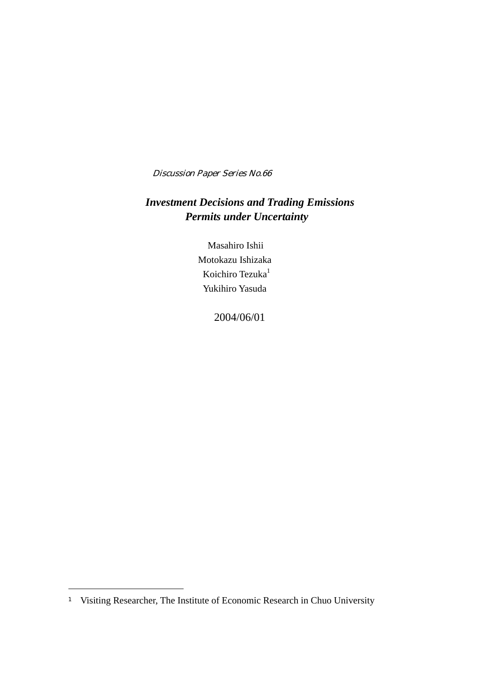Discussion Paper Series No.66

## *Investment Decisions and Trading Emissions Permits under Uncertainty*

Masahiro Ishii Motokazu Ishizaka Koichiro Tezuka<sup>1</sup> Yukihiro Yasuda

2004/06/01

 $\overline{a}$ 

<sup>1</sup> Visiting Researcher, The Institute of Economic Research in Chuo University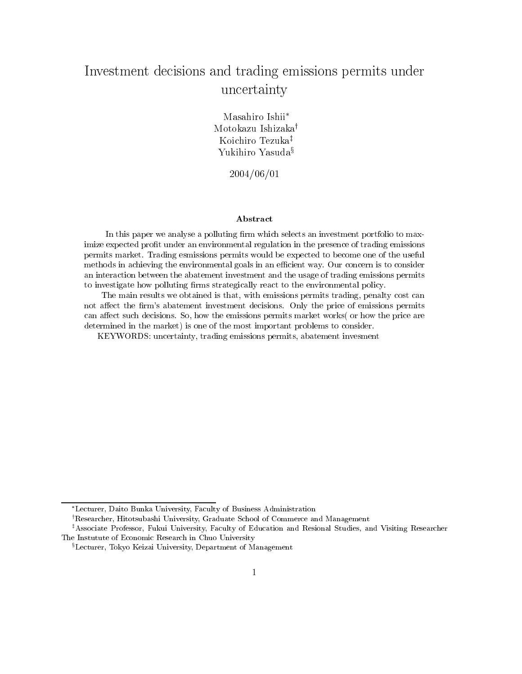# Investment decisions and trading emissions permits under uncertainty

Masahiro Ishii\* Motokazu Ishizaka<sup>†</sup> Koichiro Tezuka<sup>‡</sup> Yukihiro Yasuda<sup>§</sup>

 $2004/06/01$ 

### Abstract

In this paper we analyse a polluting firm which selects an investment portfolio to maximize expected profit under an environmental regulation in the presence of trading emissions permits market. Trading esmissions permits would be expected to become one of the useful methods in achieving the environmental goals in an efficient way. Our concern is to consider an interaction between the abatement investment and the usage of trading emissions permits to investigate how polluting firms strategically react to the environmental policy.

The main results we obtained is that, with emissions permits trading, penalty cost can not affect the firm's abatement investment decisions. Only the price of emissions permits can affect such decisions. So, how the emissions permits market works (or how the price are determined in the market) is one of the most important problems to consider.

KEYWORDS: uncertainty, trading emissions permits, abatement invesment

<sup>\*</sup>Lecturer, Daito Bunka University, Faculty of Business Administration

<sup>&</sup>lt;sup>†</sup>Researcher, Hitotsubashi University, Graduate School of Commerce and Management

<sup>\*</sup>Associate Professor, Fukui University, Faculty of Education and Resional Studies, and Visiting Researcher The Instutute of Economic Research in Chuo University

<sup>&</sup>lt;sup>§</sup>Lecturer, Tokyo Keizai University, Department of Management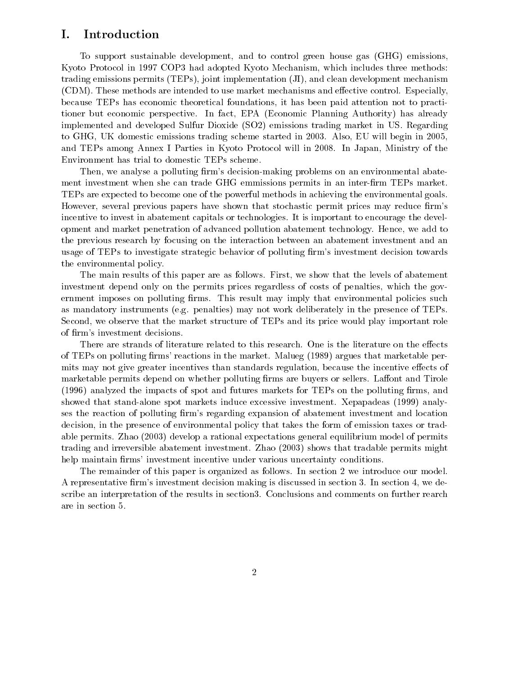#### Ι. Introduction

To support sustainable development, and to control green house gas (GHG) emissions, Kyoto Protocol in 1997 COP3 had adopted Kyoto Mechanism, which includes three methods: trading emissions permits  $(TEPs)$ , joint implementation (JI), and clean development mechanism (CDM). These methods are intended to use market mechanisms and effective control. Especially, because TEPs has economic theoretical foundations, it has been paid attention not to practitioner but economic perspective. In fact, EPA (Economic Planning Authority) has already implemented and developed Sulfur Dioxide (SO2) emissions trading market in US. Regarding to GHG, UK domestic emissions trading scheme started in 2003. Also, EU will begin in 2005, and TEPs among Annex I Parties in Kyoto Protocol will in 2008. In Japan, Ministry of the Environment has trial to domestic TEPs scheme.

Then, we analyse a polluting firm's decision-making problems on an environmental abatement investment when she can trade GHG emmissions permits in an inter-firm TEPs market. TEPs are expected to become one of the powerful methods in achieving the environmental goals. However, several previous papers have shown that stochastic permit prices may reduce firm's incentive to invest in abatement capitals or technologies. It is important to encourage the development and market penetration of advanced pollution abatement technology. Hence, we add to the previous research by focusing on the interaction between an abatement investment and an usage of TEPs to investigate strategic behavior of polluting firm's investment decision towards the environmental policy.

The main results of this paper are as follows. First, we show that the levels of abatement investment depend only on the permits prices regardless of costs of penalties, which the government imposes on polluting firms. This result may imply that environmental policies such as mandatory instruments (e.g. penalties) may not work deliberately in the presence of TEPs. Second, we observe that the market structure of TEPs and its price would play important role of firm's investment decisions.

There are strands of literature related to this research. One is the literature on the effects of TEPs on polluting firms' reactions in the market. Malueg (1989) argues that marketable permits may not give greater incentives than standards regulation, because the incentive effects of marketable permits depend on whether polluting firms are buyers or sellers. Laffont and Tirole (1996) analyzed the impacts of spot and futures markets for TEPs on the polluting firms, and showed that stand-alone spot markets induce excessive investment. Xepapadeas (1999) analyses the reaction of polluting firm's regarding expansion of abatement investment and location decision, in the presence of environmental policy that takes the form of emission taxes or tradable permits. Zhao (2003) develop a rational expectations general equilibrium model of permits trading and irreversible abatement investment. Zhao (2003) shows that tradable permits might help maintain firms' investment incentive under various uncertainty conditions.

The remainder of this paper is organized as follows. In section 2 we introduce our model. A representative firm's investment decision making is discussed in section 3. In section 4, we describe an interpretation of the results in section 3. Conclusions and comments on further rearch are in section 5.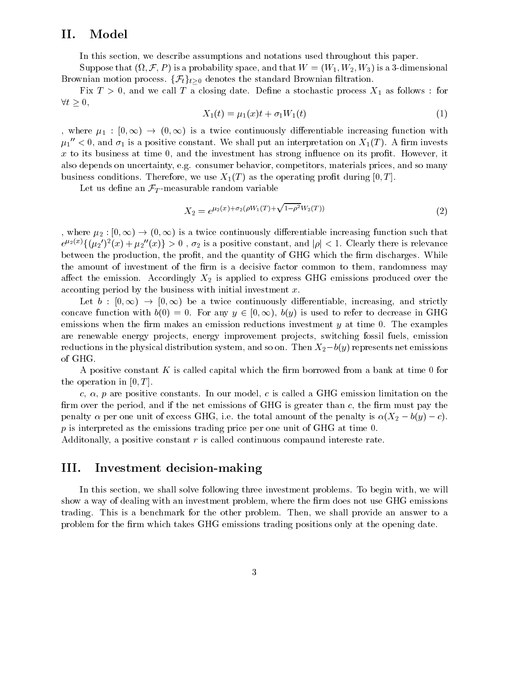#### П. Model

In this section, we describe assumptions and notations used throughout this paper.

Suppose that  $(\Omega, \mathcal{F}, P)$  is a probability space, and that  $W = (W_1, W_2, W_3)$  is a 3-dimensional Brownian motion process.  $\{\mathcal{F}_t\}_{t>0}$  denotes the standard Brownian filtration.

Fix  $T > 0$ , and we call T a closing date. Define a stochastic process  $X_1$  as follows: for  $\forall t \geq 0,$ 

$$
X_1(t) = \mu_1(x)t + \sigma_1 W_1(t) \tag{1}
$$

, where  $\mu_1 : [0, \infty) \to (0, \infty)$  is a twice continuously differentiable increasing function with  $\mu_1''$  < 0, and  $\sigma_1$  is a positive constant. We shall put an interpretation on  $X_1(T)$ . A firm invests  $x$  to its business at time 0, and the investment has strong influence on its profit. However, it also depends on uncertainty, e.g. consumer behavior, competitors, materials prices, and so many business conditions. Therefore, we use  $X_1(T)$  as the operating profit during [0, T].

Let us define an  $\mathcal{F}_T$ -measurable random variable

$$
X_2 = e^{\mu_2(x) + \sigma_2(\rho W_1(T) + \sqrt{1 - \rho^2} W_2(T))}
$$
\n(2)

, where  $\mu_2:[0,\infty)\to(0,\infty)$  is a twice continuously differentiable increasing function such that  $e^{\mu_2(x)}\{(\mu_2')^2(x)+\mu_2''(x)\}\geq 0$ ,  $\sigma_2$  is a positive constant, and  $|\rho|<1$ . Clearly there is relevance between the production, the profit, and the quantity of GHG which the firm discharges. While the amount of investment of the firm is a decisive factor common to them, randomness may affect the emission. Accordingly  $X_2$  is applied to express GHG emissions produced over the acconting period by the business with initial investment  $x$ .

Let  $b: [0, \infty) \to [0, \infty)$  be a twice continuously differentiable, increasing, and strictly concave function with  $b(0) = 0$ . For any  $y \in [0, \infty)$ ,  $b(y)$  is used to refer to decrease in GHG emissions when the firm makes an emission reductions investment  $y$  at time 0. The examples are renewable energy projects, energy improvement projects, switching fossil fuels, emission reductions in the physical distribution system, and so on. Then  $X_2-b(y)$  represents net emissions of GHG.

A positive constant K is called capital which the firm borrowed from a bank at time 0 for the operation in  $[0, T]$ .

c,  $\alpha$ , p are positive constants. In our model, c is called a GHG emission limitation on the firm over the period, and if the net emissions of GHG is greater than  $c$ , the firm must pay the penalty  $\alpha$  per one unit of excess GHG, i.e. the total amount of the penalty is  $\alpha(X_2 - b(y) - c)$ .  $p$  is interpreted as the emissions trading price per one unit of GHG at time 0.

Additionally, a positive constant  $r$  is called continuous compared intereste rate.

#### III. Investment decision-making

In this section, we shall solve following three investment problems. To begin with, we will show a way of dealing with an investment problem, where the firm does not use GHG emissions trading. This is a benchmark for the other problem. Then, we shall provide an answer to a problem for the firm which takes GHG emissions trading positions only at the opening date.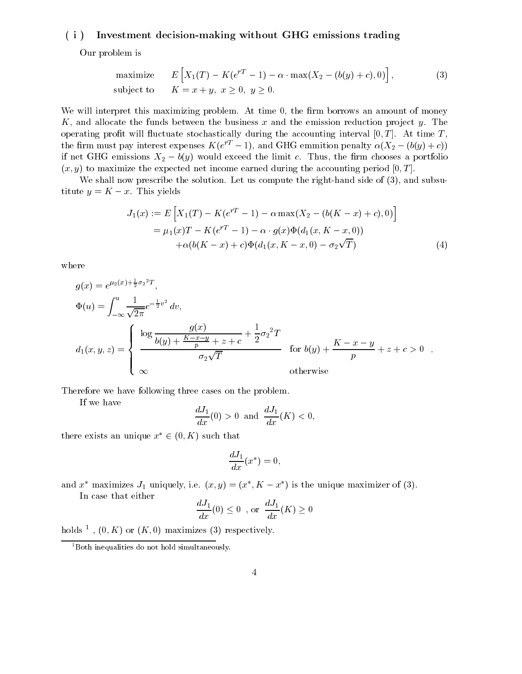#### $(i)$ Investment decision-making without GHG emissions trading

Our problem is

maximize 
$$
E\left[X_1(T) - K(e^{rT} - 1) - \alpha \cdot \max(X_2 - (b(y) + c), 0)\right]
$$
,  
subject to  $K = x + y, x \ge 0, y \ge 0.$  (3)

We will interpret this maximizing problem. At time 0, the firm borrows an amount of money K, and allocate the funds between the business x and the emission reduction project y. The operating profit will fluctuate stochastically during the accounting interval  $[0, T]$ . At time T. the firm must pay interest expenses  $K(e^{rT}-1)$ , and GHG emmition penalty  $\alpha(X_2 - (b(y) + c))$ if net GHG emissions  $X_2 - b(y)$  would exceed the limit c. Thus, the firm chooses a portfolio  $(x, y)$  to maximize the expected net income earned during the accounting period [0, T].

We shall now prescribe the solution. Let us compute the right-hand side of  $(3)$ , and subsutitute  $y = K - x$ . This yields

$$
J_1(x) := E\left[X_1(T) - K(e^{rT} - 1) - \alpha \max(X_2 - (b(K - x) + c), 0)\right]
$$
  
=  $\mu_1(x)T - K(e^{rT} - 1) - \alpha \cdot g(x)\Phi(d_1(x, K - x, 0))$   
+  $\alpha(b(K - x) + c)\Phi(d_1(x, K - x, 0) - \sigma_2\sqrt{T})$  (4)

where

$$
g(x) = e^{\mu_2(x) + \frac{1}{2}\sigma_2^2 T},
$$
  
\n
$$
\Phi(u) = \int_{-\infty}^{u} \frac{1}{\sqrt{2\pi}} e^{-\frac{1}{2}v^2} dv,
$$
  
\n
$$
d_1(x, y, z) = \begin{cases}\n\log \frac{g(x)}{b(y) + \frac{K - x - y}{p} + z + c} + \frac{1}{2}\sigma_2^2 T \\
\frac{\sigma_2 \sqrt{T}}{\sigma_2 \sqrt{T}} \end{cases}
$$
 for  $b(y) + \frac{K - x - y}{p} + z + c > 0$ .  
\notherwise

Therefore we have following three cases on the problem.

If we have

$$
\frac{dJ_1}{dx}(0) > 0 \text{ and } \frac{dJ_1}{dx}(K) < 0,
$$

there exists an unique  $x^* \in (0, K)$  such that

$$
\frac{dJ_1}{dx}(x^*) = 0
$$

and  $x^*$  maximizes  $J_1$  uniquely, i.e.  $(x, y) = (x^*, K - x^*)$  is the unique maximizer of (3).

In case that either

$$
\frac{dJ_1}{dx}(0) \le 0 , \text{ or } \frac{dJ_1}{dx}(K) \ge 0
$$

holds <sup>1</sup>,  $(0, K)$  or  $(K, 0)$  maximizes (3) respectively.

 $1$ Both inequalities do not hold simultaneously.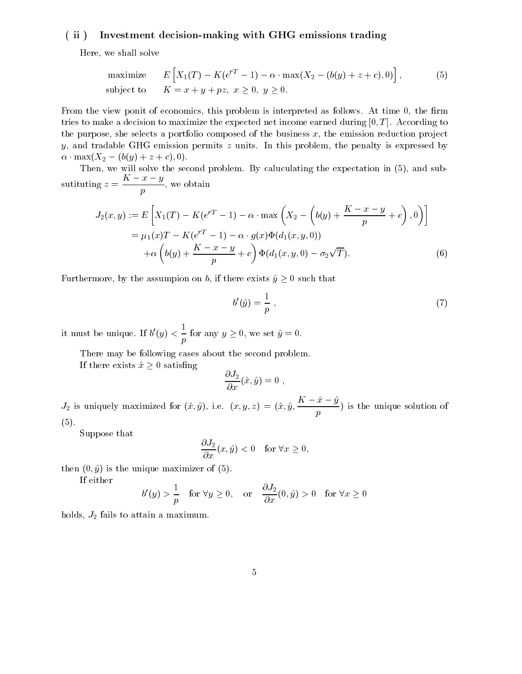#### $(iii)$ Investment decision-making with GHG emissions trading

Here, we shall solve

maximize 
$$
E\left[X_1(T) - K(e^{rT} - 1) - \alpha \cdot \max(X_2 - (b(y) + z + c), 0)\right]
$$
,  
\nsubject to  $K = x + y + pz, x \ge 0, y \ge 0.$  (5)

From the view ponit of economics, this problem is interpreted as follows. At time 0, the firm tries to make a decision to maximize the expected net income earned during  $[0, T]$ . According to the purpose, she selects a portfolio composed of the business  $x$ , the emission reduction project y, and tradable GHG emission permits  $z$  units. In this problem, the penalty is expressed by  $\alpha \cdot \max(X_2 - (b(y) + z + c), 0).$ 

Then, we will solve the second problem. By caluculating the expectation in (5), and subsutituting  $z = \frac{K - x - y}{n}$ , we obtain

$$
J_2(x,y) := E\left[X_1(T) - K(e^{rT} - 1) - \alpha \cdot \max\left(X_2 - \left(b(y) + \frac{K - x - y}{p} + c\right), 0\right)\right]
$$
  
=  $\mu_1(x)T - K(e^{rT} - 1) - \alpha \cdot g(x)\Phi(d_1(x, y, 0))$   
+  $\alpha \left(b(y) + \frac{K - x - y}{p} + c\right)\Phi(d_1(x, y, 0) - \sigma_2\sqrt{T}).$  (6)

Furthermore, by the assumption on b, if there exists  $\hat{y} \ge 0$  such that

$$
b'(\hat{y}) = \frac{1}{p},\tag{7}
$$

it must be unique. If  $b'(y) < \frac{1}{p}$  for any  $y \ge 0$ , we set  $\hat{y} = 0$ .

There may be following cases about the second problem.

If there exists  $\hat{x} \geq 0$  satisfing

$$
\frac{\partial J_2}{\partial x}(\hat{x},\hat{y})=0,
$$

 $J_2$  is uniquely maximized for  $(\hat{x}, \hat{y})$ , i.e.  $(x, y, z) = (\hat{x}, \hat{y}, \frac{K - \hat{x} - \hat{y}}{p})$  is the unique solution of  $(5).$ 

Suppose that

$$
\frac{\partial J_2}{\partial x}(x,\hat{y}) < 0 \quad \text{for } \forall x \ge 0,
$$

then  $(0, \hat{y})$  is the unique maximizer of  $(5)$ .

If either

$$
b'(y) > \frac{1}{p} \quad \text{for } \forall y \ge 0, \quad \text{or} \quad \frac{\partial J_2}{\partial x}(0, \hat{y}) > 0 \quad \text{for } \forall x \ge 0
$$

holds,  $J_2$  fails to attain a maximum.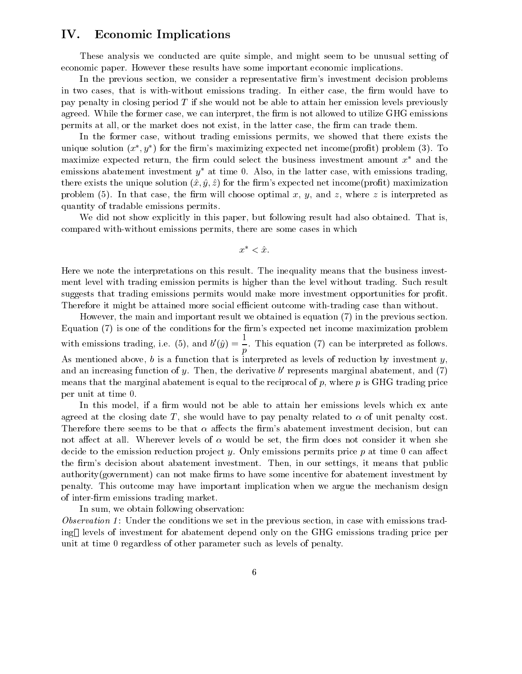#### IV. **Economic Implications**

These analysis we conducted are quite simple, and might seem to be unusual setting of economic paper. However these results have some important economic implications.

In the previous section, we consider a representative firm's investment decision problems in two cases, that is with-without emissions trading. In either case, the firm would have to pay penalty in closing period  $T$  if she would not be able to attain her emission levels previously agreed. While the former case, we can interpret, the firm is not allowed to utilize GHG emissions permits at all, or the market does not exist, in the latter case, the firm can trade them.

In the former case, without trading emissions permits, we showed that there exists the unique solution  $(x^*, y^*)$  for the firm's maximizing expected net income (profit) problem (3). To maximize expected return, the firm could select the business investment amount  $x^*$  and the emissions abatement investment  $y^*$  at time 0. Also, in the latter case, with emissions trading. there exists the unique solution  $(\hat{x}, \hat{y}, \hat{z})$  for the firm's expected net income (profit) maximization problem (5). In that case, the firm will choose optimal x, y, and z, where z is interpreted as quantity of tradable emissions permits.

We did not show explicitly in this paper, but following result had also obtained. That is, compared with-without emissions permits, there are some cases in which

$$
x^* < \hat{x}.
$$

Here we note the interpretations on this result. The inequality means that the business investment level with trading emission permits is higher than the level without trading. Such result suggests that trading emissions permits would make more investment opportunities for profit. Therefore it might be attained more social efficient outcome with-trading case than without.

However, the main and important result we obtained is equation (7) in the previous section. Equation (7) is one of the conditions for the firm's expected net income maximization problem with emissions trading, i.e. (5), and  $b'(\hat{y}) = \frac{1}{p}$ . This equation (7) can be interpreted as follows. As mentioned above,  $b$  is a function that is interpreted as levels of reduction by investment  $y$ , and an increasing function of y. Then, the derivative  $b'$  represents marginal abatement, and (7) means that the marginal abatement is equal to the reciprocal of  $p$ , where  $p$  is GHG trading price per unit at time 0.

In this model, if a firm would not be able to attain her emissions levels which ex ante agreed at the closing date T, she would have to pay penalty related to  $\alpha$  of unit penalty cost. Therefore there seems to be that  $\alpha$  affects the firm's abatement investment decision, but can not affect at all. Wherever levels of  $\alpha$  would be set, the firm does not consider it when she decide to the emission reduction project y. Only emissions permits price p at time 0 can affect the firm's decision about abatement investment. Then, in our settings, it means that public authority (government) can not make firms to have some incentive for abatement investment by penalty. This outcome may have important implication when we argue the mechanism design of inter-firm emissions trading market.

In sum, we obtain following observation:

*Observation 1*: Under the conditions we set in the previous section, in case with emissions trading levels of investment for abatement depend only on the GHG emissions trading price per unit at time 0 regardless of other parameter such as levels of penalty.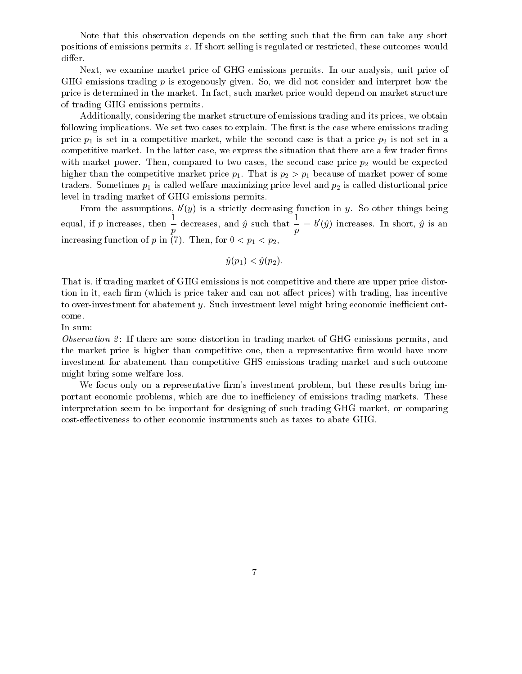Note that this observation depends on the setting such that the firm can take any short positions of emissions permits z. If short selling is regulated or restricted, these outcomes would differ.

Next, we examine market price of GHG emissions permits. In our analysis, unit price of GHG emissions trading  $p$  is exogenously given. So, we did not consider and interpret how the price is determined in the market. In fact, such market price would depend on market structure of trading GHG emissions permits.

Additionally, considering the market structure of emissions trading and its prices, we obtain following implications. We set two cases to explain. The first is the case where emissions trading price  $p_1$  is set in a competitive market, while the second case is that a price  $p_2$  is not set in a competitive market. In the latter case, we express the situation that there are a few trader firms with market power. Then, compared to two cases, the second case price  $p_2$  would be expected higher than the competitive market price  $p_1$ . That is  $p_2 > p_1$  because of market power of some traders. Sometimes  $p_1$  is called welfare maximizing price level and  $p_2$  is called distortional price level in trading market of GHG emissions permits.

From the assumptions,  $b'(y)$  is a strictly decreasing function in y. So other things being equal, if p increases, then  $\frac{1}{p}$  decreases, and  $\hat{y}$  such that  $\frac{1}{p} = b'(\hat{y})$  increases. In short,  $\hat{y}$  is an increasing function of p in (7). Then, for  $0 < p_1 < p_2$ ,

$$
\hat{y}(p_1) < \hat{y}(p_2).
$$

That is, if trading market of GHG emissions is not competitive and there are upper price distortion in it, each firm (which is price taker and can not affect prices) with trading, has incentive to over-investment for abatement  $y$ . Such investment level might bring economic inefficient outcome.

In sum:

*Observation 2*: If there are some distortion in trading market of GHG emissions permits, and the market price is higher than competitive one, then a representative firm would have more investment for abatement than competitive GHS emissions trading market and such outcome might bring some welfare loss.

We focus only on a representative firm's investment problem, but these results bring important economic problems, which are due to inefficiency of emissions trading markets. These interpretation seem to be important for designing of such trading GHG market, or comparing cost-effectiveness to other economic instruments such as taxes to abate GHG.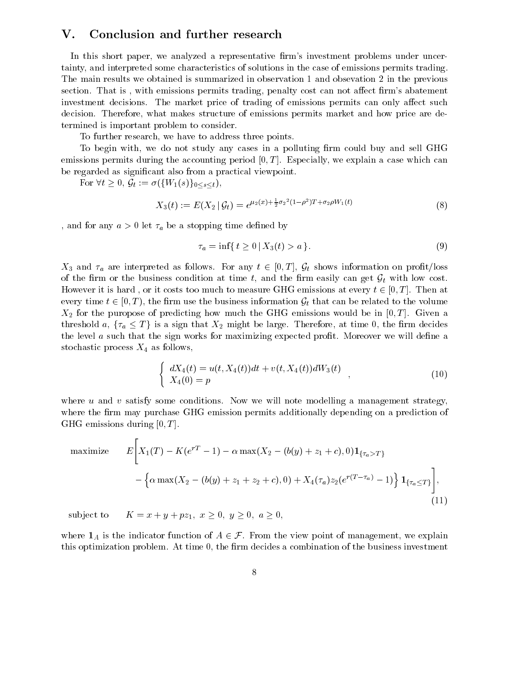#### $\bf V.$ Conclusion and further research

In this short paper, we analyzed a representative firm's investment problems under uncertainty, and interpreted some characteristics of solutions in the case of emissions permits trading. The main results we obtained is summarized in observation 1 and obsevation 2 in the previous section. That is, with emissions permits trading, penalty cost can not affect firm's abatement investment decisions. The market price of trading of emissions permits can only affect such decision. Therefore, what makes structure of emissions permits market and how price are determined is important problem to consider.

To further research, we have to address three points.

To begin with, we do not study any cases in a polluting firm could buy and sell GHG emissions permits during the accounting period  $[0, T]$ . Especially, we explain a case which can be regarded as significant also from a practical viewpoint.

For  $\forall t \geq 0$ ,  $\mathcal{G}_t := \sigma(\{W_1(s)\}_{0 \leq s \leq t}),$ 

$$
X_3(t) := E(X_2 | \mathcal{G}_t) = e^{\mu_2(x) + \frac{1}{2}\sigma_2^2(1-\rho^2)T + \sigma_2\rho W_1(t)}
$$
\n(8)

, and for any  $a > 0$  let  $\tau_a$  be a stopping time defined by

$$
\tau_a = \inf\{ t \ge 0 \, | \, X_3(t) > a \}.\tag{9}
$$

 $X_3$  and  $\tau_a$  are interpreted as follows. For any  $t \in [0,T]$ ,  $\mathcal{G}_t$  shows information on profit/loss of the firm or the business condition at time t, and the firm easily can get  $G_t$  with low cost. However it is hard, or it costs too much to measure GHG emissions at every  $t \in [0, T]$ . Then at every time  $t \in [0, T)$ , the firm use the business information  $\mathcal{G}_t$  that can be related to the volume  $X_2$  for the puropose of predicting how much the GHG emissions would be in  $[0, T]$ . Given a threshold a,  $\{\tau_a \leq T\}$  is a sign that  $X_2$  might be large. Therefore, at time 0, the firm decides the level  $a$  such that the sign works for maximizing expected profit. Moreover we will define a stochastic process  $X_4$  as follows,

$$
\begin{cases}\n dX_4(t) = u(t, X_4(t))dt + v(t, X_4(t))dW_3(t) \\
 X_4(0) = p\n\end{cases}
$$
\n(10)

where  $u$  and  $v$  satisfy some conditions. Now we will note modelling a management strategy, where the firm may purchase GHG emission permits additionally depending on a prediction of GHG emissions during  $[0, T]$ .

maximize 
$$
E\left[X_1(T) - K(e^{rT} - 1) - \alpha \max(X_2 - (b(y) + z_1 + c), 0) \mathbf{1}_{\{\tau_a > T\}}\right]
$$
  
  $- \left\{\alpha \max(X_2 - (b(y) + z_1 + z_2 + c), 0) + X_4(\tau_a) z_2(e^{r(T - \tau_a)} - 1)\right\} \mathbf{1}_{\{\tau_a \le T\}}\right],$  (11)

 $K = x + y + pz_1, x > 0, y > 0, a > 0,$ subject to

where  $\mathbf{1}_A$  is the indicator function of  $A \in \mathcal{F}$ . From the view point of management, we explain this optimization problem. At time 0, the firm decides a combination of the business investment